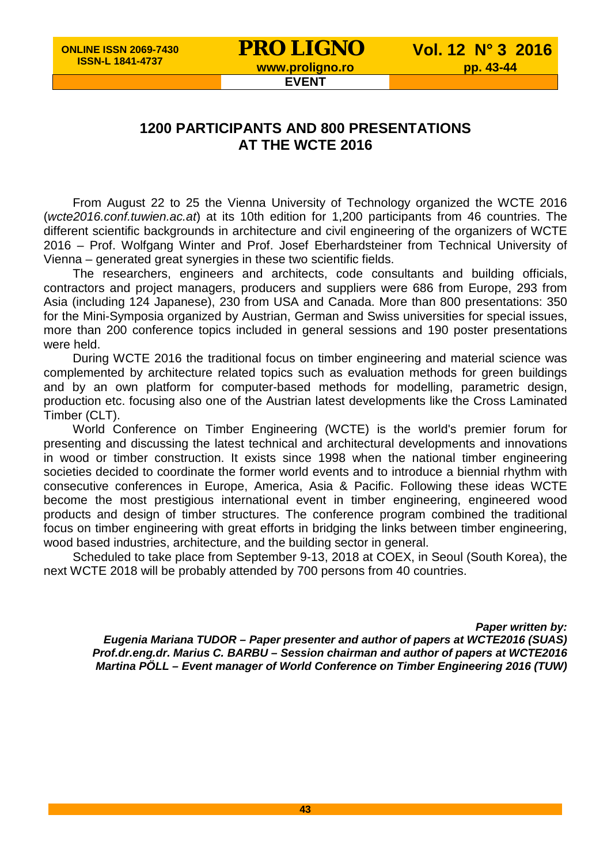## **PRO LIGNO** Vol. 12 N° 3 2016<br>www.proligno.ro pp. 43-44

## **EVENT**

## **1200 PARTICIPANTS AND 800 PRESENTATIONS AT THE WCTE 2016**

From August 22 to 25 the Vienna University of Technology organized the WCTE 2016 (*wcte2016.conf.tuwien.ac.at*) at its 10th edition for 1,200 participants from 46 countries. The different scientific backgrounds in architecture and civil engineering of the organizers of WCTE 2016 – Prof. Wolfgang Winter and Prof. Josef Eberhardsteiner from Technical University of Vienna – generated great synergies in these two scientific fields.

The researchers, engineers and architects, code consultants and building officials, contractors and project managers, producers and suppliers were 686 from Europe, 293 from Asia (including 124 Japanese), 230 from USA and Canada. More than 800 presentations: 350 for the Mini-Symposia organized by Austrian, German and Swiss universities for special issues, more than 200 conference topics included in general sessions and 190 poster presentations were held.

During WCTE 2016 the traditional focus on timber engineering and material science was complemented by architecture related topics such as evaluation methods for green buildings and by an own platform for computer-based methods for modelling, parametric design, production etc. focusing also one of the Austrian latest developments like the Cross Laminated Timber (CLT).

World Conference on Timber Engineering (WCTE) is the world's premier forum for presenting and discussing the latest technical and architectural developments and innovations in wood or timber construction. It exists since 1998 when the national timber engineering societies decided to coordinate the former world events and to introduce a biennial rhythm with consecutive conferences in Europe, America, Asia & Pacific. Following these ideas WCTE become the most prestigious international event in timber engineering, engineered wood products and design of timber structures. The conference program combined the traditional focus on timber engineering with great efforts in bridging the links between timber engineering, wood based industries, architecture, and the building sector in general.

Scheduled to take place from September 9-13, 2018 at COEX, in Seoul (South Korea), the next WCTE 2018 will be probably attended by 700 persons from 40 countries.

*Paper written by: Eugenia Mariana TUDOR – Paper presenter and author of papers at WCTE2016 (SUAS) Prof.dr.eng.dr. Marius C. BARBU – Session chairman and author of papers at WCTE2016 Martina PÖLL – Event manager of World Conference on Timber Engineering 2016 (TUW)*